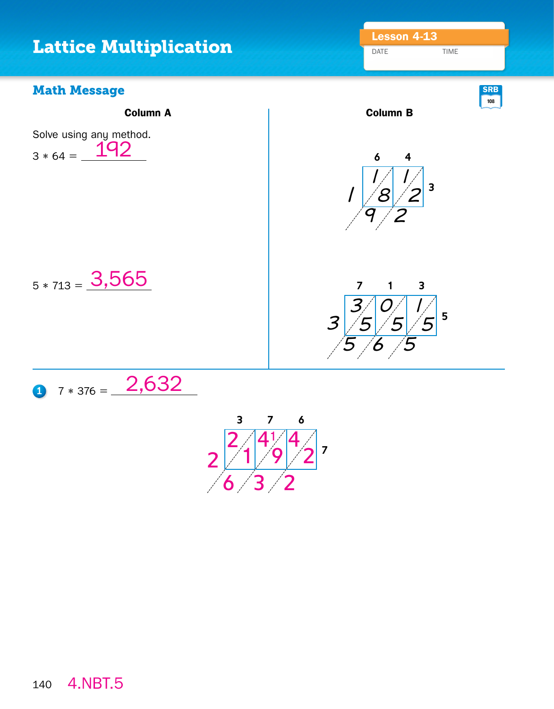